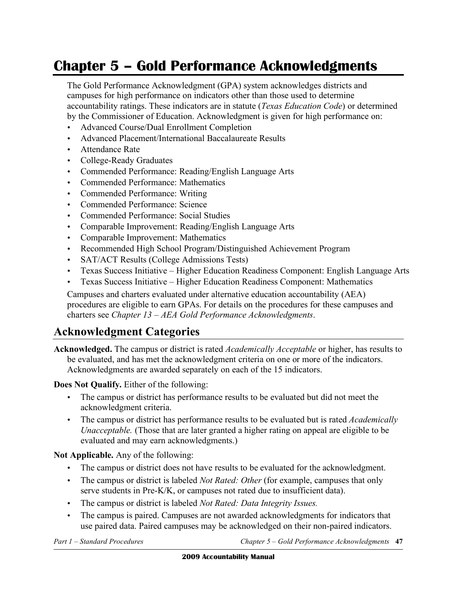# **Chapter 5 – Gold Performance Acknowledgments**

The Gold Performance Acknowledgment (GPA) system acknowledges districts and campuses for high performance on indicators other than those used to determine accountability ratings. These indicators are in statute (*Texas Education Code*) or determined by the Commissioner of Education. Acknowledgment is given for high performance on:

- • Advanced Course/Dual Enrollment Completion
- Advanced Placement/International Baccalaureate Results
- Attendance Rate
- • College-Ready Graduates
- Commended Performance: Reading/English Language Arts
- • Commended Performance: Mathematics
- • Commended Performance: Writing
- • Commended Performance: Science
- • Commended Performance: Social Studies
- Comparable Improvement: Reading/English Language Arts
- • Comparable Improvement: Mathematics
- Recommended High School Program/Distinguished Achievement Program
- SAT/ACT Results (College Admissions Tests)
- Texas Success Initiative Higher Education Readiness Component: English Language Arts
- Texas Success Initiative Higher Education Readiness Component: Mathematics

Campuses and charters evaluated under alternative education accountability (AEA) procedures are eligible to earn GPAs. For details on the procedures for these campuses and charters see *Chapter 13 – AEA Gold Performance Acknowledgments*.

# **Acknowledgment Categories**

**Acknowledged.** The campus or district is rated *Academically Acceptable* or higher, has results to be evaluated, and has met the acknowledgment criteria on one or more of the indicators. Acknowledgments are awarded separately on each of the 15 indicators.

**Does Not Qualify.** Either of the following:

- The campus or district has performance results to be evaluated but did not meet the acknowledgment criteria.
- • The campus or district has performance results to be evaluated but is rated *Academically Unacceptable.* (Those that are later granted a higher rating on appeal are eligible to be evaluated and may earn acknowledgments.)

**Not Applicable.** Any of the following:

- The campus or district does not have results to be evaluated for the acknowledgment.
- The campus or district is labeled *Not Rated: Other* (for example, campuses that only serve students in Pre-K/K, or campuses not rated due to insufficient data).
- • The campus or district is labeled *Not Rated: Data Integrity Issues.*
- The campus is paired. Campuses are not awarded acknowledgments for indicators that use paired data. Paired campuses may be acknowledged on their non-paired indicators.

*Part 1 - Standard Procedures*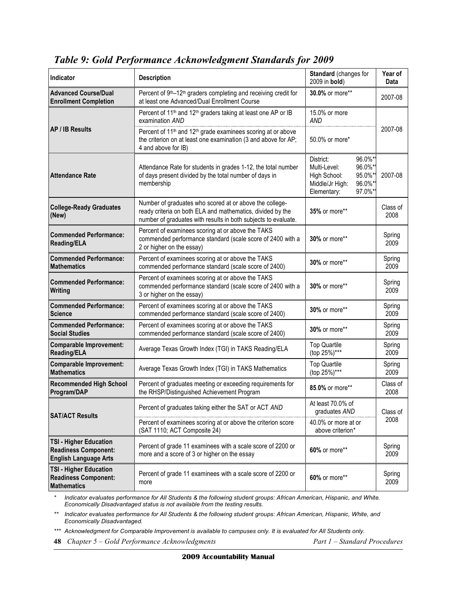| Indicator                                                                                    | <b>Description</b>                                                                                                                                                                      | Standard (changes for<br>2009 in <b>bold</b> )                                                                                | Year of<br>Data  |
|----------------------------------------------------------------------------------------------|-----------------------------------------------------------------------------------------------------------------------------------------------------------------------------------------|-------------------------------------------------------------------------------------------------------------------------------|------------------|
| <b>Advanced Course/Dual</b><br><b>Enrollment Completion</b>                                  | Percent of 9 <sup>th</sup> –12 <sup>th</sup> graders completing and receiving credit for<br>at least one Advanced/Dual Enrollment Course                                                | 30.0% or more**                                                                                                               | 2007-08          |
| <b>AP / IB Results</b>                                                                       | Percent of 11 <sup>th</sup> and 12 <sup>th</sup> graders taking at least one AP or IB<br>examination AND                                                                                | 15.0% or more<br>AND                                                                                                          | 2007-08          |
|                                                                                              | Percent of 11 <sup>th</sup> and 12 <sup>th</sup> grade examinees scoring at or above<br>the criterion on at least one examination (3 and above for AP;<br>4 and above for IB)           | 50.0% or more*                                                                                                                |                  |
| <b>Attendance Rate</b>                                                                       | Attendance Rate for students in grades 1-12, the total number<br>of days present divided by the total number of days in<br>membership                                                   | 96.0%*<br>District:<br>96.0%*<br>Multi-Level:<br>High School:<br>95.0%*<br>96.0%*<br>Middle/Jr High:<br>97.0%*<br>Elementary: | 2007-08          |
| <b>College-Ready Graduates</b><br>(New)                                                      | Number of graduates who scored at or above the college-<br>ready criteria on both ELA and mathematics, divided by the<br>number of graduates with results in both subjects to evaluate. | 35% or more**                                                                                                                 | Class of<br>2008 |
| <b>Commended Performance:</b><br><b>Reading/ELA</b>                                          | Percent of examinees scoring at or above the TAKS<br>commended performance standard (scale score of 2400 with a<br>2 or higher on the essay)                                            | 30% or more**                                                                                                                 | Spring<br>2009   |
| <b>Commended Performance:</b><br><b>Mathematics</b>                                          | Percent of examinees scoring at or above the TAKS<br>commended performance standard (scale score of 2400)                                                                               | 30% or more**                                                                                                                 | Spring<br>2009   |
| <b>Commended Performance:</b><br>Writing                                                     | Percent of examinees scoring at or above the TAKS<br>commended performance standard (scale score of 2400 with a<br>3 or higher on the essay)                                            | 30% or more**                                                                                                                 | Spring<br>2009   |
| <b>Commended Performance:</b><br><b>Science</b>                                              | Percent of examinees scoring at or above the TAKS<br>commended performance standard (scale score of 2400)                                                                               | 30% or more**                                                                                                                 | Spring<br>2009   |
| <b>Commended Performance:</b><br><b>Social Studies</b>                                       | Percent of examinees scoring at or above the TAKS<br>commended performance standard (scale score of 2400)                                                                               | 30% or more**                                                                                                                 | Spring<br>2009   |
| <b>Comparable Improvement:</b><br><b>Reading/ELA</b>                                         | Average Texas Growth Index (TGI) in TAKS Reading/ELA                                                                                                                                    | <b>Top Quartile</b><br>(top 25%)***                                                                                           | Spring<br>2009   |
| <b>Comparable Improvement:</b><br><b>Mathematics</b>                                         | Average Texas Growth Index (TGI) in TAKS Mathematics                                                                                                                                    | <b>Top Quartile</b><br>(top 25%)***                                                                                           | Spring<br>2009   |
| <b>Recommended High School</b><br>Program/DAP                                                | Percent of graduates meeting or exceeding requirements for<br>the RHSP/Distinguished Achievement Program                                                                                | 85.0% or more**                                                                                                               | Class of<br>2008 |
| <b>SAT/ACT Results</b>                                                                       | Percent of graduates taking either the SAT or ACT AND                                                                                                                                   | At least 70.0% of<br>graduates AND                                                                                            | Class of<br>2008 |
|                                                                                              | Percent of examinees scoring at or above the criterion score<br>(SAT 1110; ACT Composite 24)                                                                                            | 40.0% or more at or<br>above criterion*                                                                                       |                  |
| <b>TSI - Higher Education</b><br><b>Readiness Component:</b><br><b>English Language Arts</b> | Percent of grade 11 examinees with a scale score of 2200 or<br>more and a score of 3 or higher on the essay                                                                             | 60% or more**                                                                                                                 | Spring<br>2009   |
| <b>TSI - Higher Education</b><br><b>Readiness Component:</b><br><b>Mathematics</b>           | Percent of grade 11 examinees with a scale score of 2200 or<br>more                                                                                                                     | 60% or more**                                                                                                                 | Spring<br>2009   |

# *Table 9: Gold Performance Acknowledgment Standards for 2009*

 *\* Indicator evaluates performance for All Students & the following student groups: African American, Hispanic, and White. Economically Disadvantaged status is not available from the testing results.* 

 *\*\* Indicator evaluates performance for All Students & the following student groups: African American, Hispanic, White, and Economically Disadvantaged.* 

**<sup>\*\*\*</sup>** Acknowledgment for Comparable Improvement is available to campuses only. It is evaluated for All Students only.

 **48** *Chapter 5 – Gold Performance Acknowledgments Part 1 – Standard Procedures*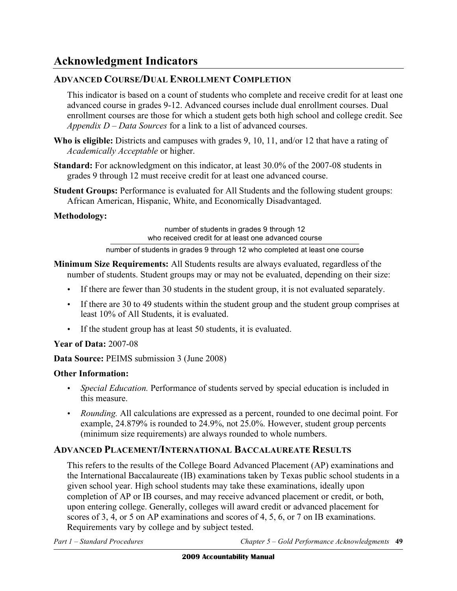# **Acknowledgment Indicators**

# **ADVANCED COURSE/DUAL ENROLLMENT COMPLETION**

This indicator is based on a count of students who complete and receive credit for at least one advanced course in grades 9-12. Advanced courses include dual enrollment courses. Dual enrollment courses are those for which a student gets both high school and college credit. See *Appendix D – Data Sources* for a link to a list of advanced courses.

- **Who is eligible:** Districts and campuses with grades 9, 10, 11, and/or 12 that have a rating of *Academically Acceptable* or higher.
- **Standard:** For acknowledgment on this indicator, at least 30.0% of the 2007-08 students in grades 9 through 12 must receive credit for at least one advanced course.
- **Student Groups:** Performance is evaluated for All Students and the following student groups: African American, Hispanic, White, and Economically Disadvantaged.

# **Methodology:**

number of students in grades 9 through 12 who received credit for at least one advanced course

number of students in grades 9 through 12 who completed at least one course

- **Minimum Size Requirements:** All Students results are always evaluated, regardless of the number of students. Student groups may or may not be evaluated, depending on their size:
	- If there are fewer than 30 students in the student group, it is not evaluated separately.
	- If there are 30 to 49 students within the student group and the student group comprises at least 10% of All Students, it is evaluated.
	- If the student group has at least 50 students, it is evaluated.

# **Year of Data:** 2007-08

**Data Source:** PEIMS submission 3 (June 2008)

# **Other Information:**

- *Special Education.* Performance of students served by special education is included in this measure.
- *Rounding.* All calculations are expressed as a percent, rounded to one decimal point. For example, 24.879% is rounded to 24.9%, not 25.0%. However, student group percents (minimum size requirements) are always rounded to whole numbers.

# **ADVANCED PLACEMENT/INTERNATIONAL BACCALAUREATE RESULTS**

This refers to the results of the College Board Advanced Placement (AP) examinations and the International Baccalaureate (IB) examinations taken by Texas public school students in a given school year. High school students may take these examinations, ideally upon completion of AP or IB courses, and may receive advanced placement or credit, or both, upon entering college. Generally, colleges will award credit or advanced placement for scores of 3, 4, or 5 on AP examinations and scores of 4, 5, 6, or 7 on IB examinations. Requirements vary by college and by subject tested.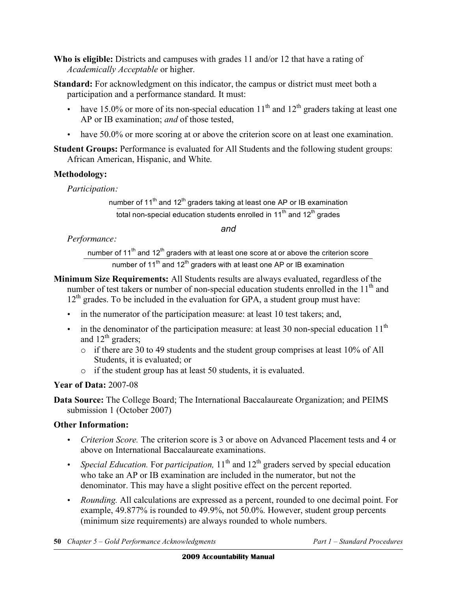**Who is eligible:** Districts and campuses with grades 11 and/or 12 that have a rating of *Academically Acceptable* or higher.

**Standard:** For acknowledgment on this indicator, the campus or district must meet both a participation and a performance standard. It must:

- have 15.0% or more of its non-special education  $11<sup>th</sup>$  and  $12<sup>th</sup>$  graders taking at least one AP or IB examination; *and* of those tested,
- have 50.0% or more scoring at or above the criterion score on at least one examination.

**Student Groups:** Performance is evaluated for All Students and the following student groups: African American, Hispanic, and White.

# **Methodology:**

*Participation:* 

number of  $11<sup>th</sup>$  and  $12<sup>th</sup>$  graders taking at least one AP or IB examination total non-special education students enrolled in 11<sup>th</sup> and 12<sup>th</sup> grades

*and* 

*Performance:* 

number of  $11^{th}$  and  $12^{th}$  graders with at least one score at or above the criterion score number of 11<sup>th</sup> and 12<sup>th</sup> graders with at least one AP or IB examination

- **Minimum Size Requirements:** All Students results are always evaluated, regardless of the number of test takers or number of non-special education students enrolled in the 11<sup>th</sup> and  $12<sup>th</sup>$  grades. To be included in the evaluation for GPA, a student group must have:
	- in the numerator of the participation measure: at least 10 test takers; and,
	- in the denominator of the participation measure: at least 30 non-special education  $11<sup>th</sup>$ and  $12<sup>th</sup>$  graders;
		- $\circ$  if there are 30 to 49 students and the student group comprises at least 10% of All Students, it is evaluated; or
		- o if the student group has at least 50 students, it is evaluated.

**Year of Data:** 2007-08

**Data Source:** The College Board; The International Baccalaureate Organization; and PEIMS submission 1 (October 2007)

- • *Criterion Score.* The criterion score is 3 or above on Advanced Placement tests and 4 or above on International Baccalaureate examinations.
- *Special Education.* For *participation*, 11<sup>th</sup> and 12<sup>th</sup> graders served by special education who take an AP or IB examination are included in the numerator, but not the denominator. This may have a slight positive effect on the percent reported.
- • *Rounding.* All calculations are expressed as a percent, rounded to one decimal point. For example, 49.877% is rounded to 49.9%, not 50.0%. However, student group percents (minimum size requirements) are always rounded to whole numbers.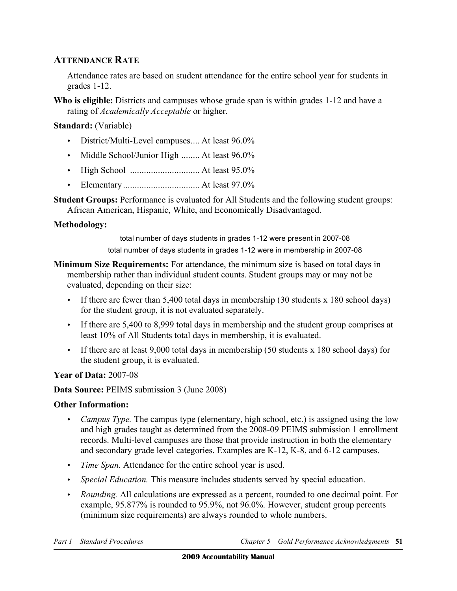# **ATTENDANCE RATE**

Attendance rates are based on student attendance for the entire school year for students in grades 1-12.

Who is eligible: Districts and campuses whose grade span is within grades 1-12 and have a rating of *Academically Acceptable* or higher.

# **Standard:** (Variable)

- District/Multi-Level campuses.... At least 96.0%
- Middle School/Junior High ........ At least 96.0%
- • High School .............................. At least 95.0%
- • Elementary ................................. At least 97.0%

**Student Groups:** Performance is evaluated for All Students and the following student groups: African American, Hispanic, White, and Economically Disadvantaged.

# **Methodology:**

total number of days students in grades 1-12 were present in 2007-08

total number of days students in grades 1-12 were in membership in 2007-08

- **Minimum Size Requirements:** For attendance, the minimum size is based on total days in membership rather than individual student counts. Student groups may or may not be evaluated, depending on their size:
	- If there are fewer than 5,400 total days in membership (30 students x 180 school days) for the student group, it is not evaluated separately.
	- If there are 5,400 to 8,999 total days in membership and the student group comprises at least 10% of All Students total days in membership, it is evaluated.
	- If there are at least 9,000 total days in membership (50 students x 180 school days) for the student group, it is evaluated.

**Year of Data:** 2007-08

**Data Source:** PEIMS submission 3 (June 2008)

- *Campus Type.* The campus type (elementary, high school, etc.) is assigned using the low and high grades taught as determined from the 2008-09 PEIMS submission 1 enrollment records. Multi-level campuses are those that provide instruction in both the elementary and secondary grade level categories. Examples are K-12, K-8, and 6-12 campuses.
- *Time Span.* Attendance for the entire school year is used.
- *Special Education*. This measure includes students served by special education.
- • *Rounding.* All calculations are expressed as a percent, rounded to one decimal point. For example, 95.877% is rounded to 95.9%, not 96.0%. However, student group percents (minimum size requirements) are always rounded to whole numbers.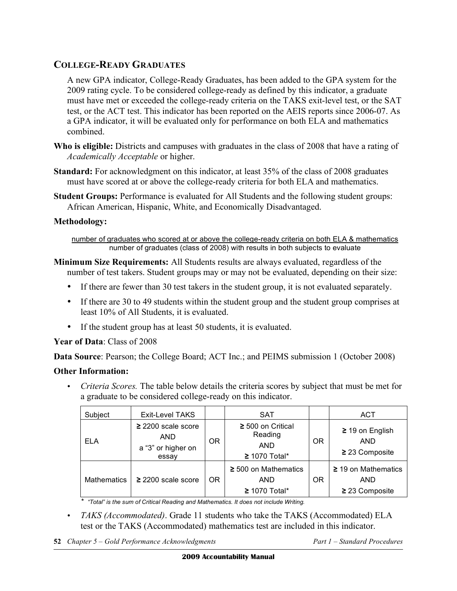# **COLLEGE-READY GRADUATES**

A new GPA indicator, College-Ready Graduates, has been added to the GPA system for the 2009 rating cycle. To be considered college-ready as defined by this indicator, a graduate must have met or exceeded the college-ready criteria on the TAKS exit-level test, or the SAT test, or the ACT test. This indicator has been reported on the AEIS reports since 2006-07. As a GPA indicator, it will be evaluated only for performance on both ELA and mathematics combined.

- **Who is eligible:** Districts and campuses with graduates in the class of 2008 that have a rating of *Academically Acceptable* or higher.
- **Standard:** For acknowledgment on this indicator, at least 35% of the class of 2008 graduates must have scored at or above the college-ready criteria for both ELA and mathematics.
- **Student Groups:** Performance is evaluated for All Students and the following student groups: African American, Hispanic, White, and Economically Disadvantaged.

# **Methodology:**

number of graduates who scored at or above the college-ready criteria on both ELA & mathematics number of graduates (class of 2008) with results in both subjects to evaluate

- **Minimum Size Requirements:** All Students results are always evaluated, regardless of the number of test takers. Student groups may or may not be evaluated, depending on their size:
	- If there are fewer than 30 test takers in the student group, it is not evaluated separately.
	- If there are 30 to 49 students within the student group and the student group comprises at least 10% of All Students, it is evaluated.
	- If the student group has at least 50 students, it is evaluated.

# **Year of Data**: Class of 2008

**Data Source**: Pearson; the College Board; ACT Inc.; and PEIMS submission 1 (October 2008)

# **Other Information:**

• *Criteria Scores.* The table below details the criteria scores by subject that must be met for a graduate to be considered college-ready on this indicator.

| Subject            | <b>Exit-Level TAKS</b>                                         |           | <b>SAT</b>                                                         |           | ACT                                                       |
|--------------------|----------------------------------------------------------------|-----------|--------------------------------------------------------------------|-----------|-----------------------------------------------------------|
| <b>ELA</b>         | $\geq$ 2200 scale score<br>AND.<br>a "3" or higher on<br>essay | <b>OR</b> | $\geq 500$ on Critical<br>Reading<br><b>AND</b><br>$≥$ 1070 Total* | <b>OR</b> | $\geq$ 19 on English<br><b>AND</b><br>$\geq$ 23 Composite |
| <b>Mathematics</b> | $\geq$ 2200 scale score                                        | <b>OR</b> | $\geq$ 500 on Mathematics<br><b>AND</b><br>$≥ 1070$ Total*         | OR        | $\geq$ 19 on Mathematics<br>AND<br>$\geq$ 23 Composite    |

*\* "Total" is the sum of Critical Reading and Mathematics. It does not include Writing.* 

- *TAKS (Accommodated)*. Grade 11 students who take the TAKS (Accommodated) ELA test or the TAKS (Accommodated) mathematics test are included in this indicator.
- **52** *Chapter 5 Gold Performance Acknowledgments Part 1 Standard Procedures*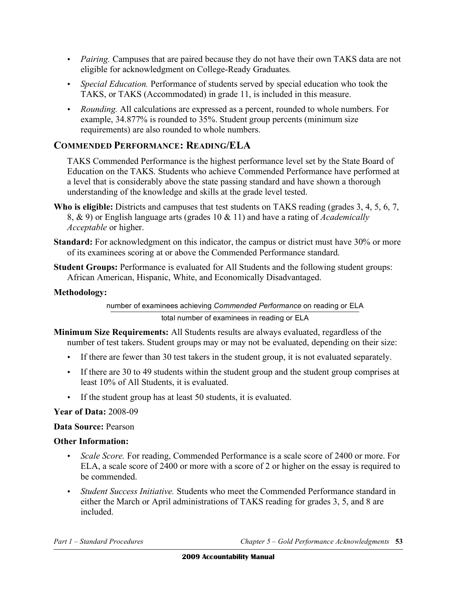- *Pairing.* Campuses that are paired because they do not have their own TAKS data are not eligible for acknowledgment on College-Ready Graduates*.*
- *Special Education*. Performance of students served by special education who took the TAKS, or TAKS (Accommodated) in grade 11, is included in this measure.
- • *Rounding.* All calculations are expressed as a percent, rounded to whole numbers. For example, 34.877% is rounded to 35%. Student group percents (minimum size requirements) are also rounded to whole numbers.

# **COMMENDED PERFORMANCE: READING/ELA**

TAKS Commended Performance is the highest performance level set by the State Board of Education on the TAKS. Students who achieve Commended Performance have performed at a level that is considerably above the state passing standard and have shown a thorough understanding of the knowledge and skills at the grade level tested.

- **Who is eligible:** Districts and campuses that test students on TAKS reading (grades 3, 4, 5, 6, 7, 8, & 9) or English language arts (grades 10 & 11) and have a rating of *Academically Acceptable* or higher.
- **Standard:** For acknowledgment on this indicator, the campus or district must have 30% or more of its examinees scoring at or above the Commended Performance standard.
- **Student Groups:** Performance is evaluated for All Students and the following student groups: African American, Hispanic, White, and Economically Disadvantaged.

# **Methodology:**

number of examinees achieving *Commended Performance* on reading or ELA

total number of examinees in reading or ELA

- **Minimum Size Requirements:** All Students results are always evaluated, regardless of the number of test takers. Student groups may or may not be evaluated, depending on their size:
	- If there are fewer than 30 test takers in the student group, it is not evaluated separately.
	- If there are 30 to 49 students within the student group and the student group comprises at least 10% of All Students, it is evaluated.
	- If the student group has at least 50 students, it is evaluated.

# **Year of Data:** 2008-09

# **Data Source:** Pearson

- *Scale Score.* For reading, Commended Performance is a scale score of 2400 or more. For ELA, a scale score of 2400 or more with a score of 2 or higher on the essay is required to be commended.
- • *Student Success Initiative.* Students who meet the Commended Performance standard in either the March or April administrations of TAKS reading for grades 3, 5, and 8 are included.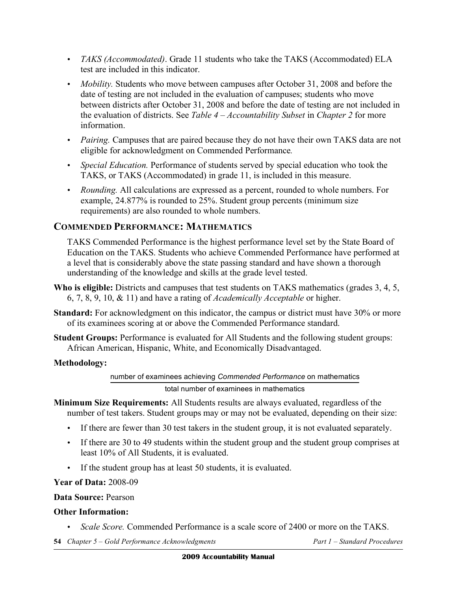- • *TAKS (Accommodated)*. Grade 11 students who take the TAKS (Accommodated) ELA test are included in this indicator.
- *Mobility*. Students who move between campuses after October 31, 2008 and before the date of testing are not included in the evaluation of campuses; students who move between districts after October 31, 2008 and before the date of testing are not included in the evaluation of districts. See *Table 4 – Accountability Subset* in *Chapter 2* for more information.
- *Pairing.* Campuses that are paired because they do not have their own TAKS data are not eligible for acknowledgment on Commended Performance*.*
- *Special Education.* Performance of students served by special education who took the TAKS, or TAKS (Accommodated) in grade 11, is included in this measure.
- • *Rounding.* All calculations are expressed as a percent, rounded to whole numbers. For example, 24.877% is rounded to 25%. Student group percents (minimum size requirements) are also rounded to whole numbers.

# **COMMENDED PERFORMANCE: MATHEMATICS**

TAKS Commended Performance is the highest performance level set by the State Board of Education on the TAKS. Students who achieve Commended Performance have performed at a level that is considerably above the state passing standard and have shown a thorough understanding of the knowledge and skills at the grade level tested.

- **Who is eligible:** Districts and campuses that test students on TAKS mathematics (grades 3, 4, 5, 6, 7, 8, 9, 10, & 11) and have a rating of *Academically Acceptable* or higher.
- **Standard:** For acknowledgment on this indicator, the campus or district must have 30% or more of its examinees scoring at or above the Commended Performance standard.
- **Student Groups:** Performance is evaluated for All Students and the following student groups: African American, Hispanic, White, and Economically Disadvantaged.

# **Methodology:**

number of examinees achieving *Commended Performance* on mathematics

#### total number of examinees in mathematics

- **Minimum Size Requirements:** All Students results are always evaluated, regardless of the number of test takers. Student groups may or may not be evaluated, depending on their size:
	- If there are fewer than 30 test takers in the student group, it is not evaluated separately.
	- If there are 30 to 49 students within the student group and the student group comprises at least 10% of All Students, it is evaluated.
	- If the student group has at least 50 students, it is evaluated.

**Year of Data:** 2008-09

#### **Data Source:** Pearson

- • *Scale Score.* Commended Performance is a scale score of 2400 or more on the TAKS.
- **54** *Chapter 5 Gold Performance Acknowledgments Part 1 Standard Procedures*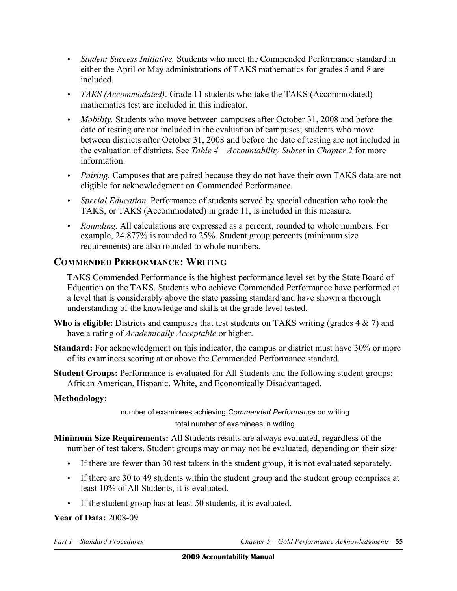- • *Student Success Initiative.* Students who meet the Commended Performance standard in either the April or May administrations of TAKS mathematics for grades 5 and 8 are included.
- • *TAKS (Accommodated)*. Grade 11 students who take the TAKS (Accommodated) mathematics test are included in this indicator.
- *Mobility*. Students who move between campuses after October 31, 2008 and before the date of testing are not included in the evaluation of campuses; students who move between districts after October 31, 2008 and before the date of testing are not included in the evaluation of districts. See *Table 4 – Accountability Subset* in *Chapter 2* for more information.
- *Pairing.* Campuses that are paired because they do not have their own TAKS data are not eligible for acknowledgment on Commended Performance*.*
- *Special Education*. Performance of students served by special education who took the TAKS, or TAKS (Accommodated) in grade 11, is included in this measure.
- • *Rounding.* All calculations are expressed as a percent, rounded to whole numbers. For example, 24.877% is rounded to 25%. Student group percents (minimum size requirements) are also rounded to whole numbers.

# **COMMENDED PERFORMANCE: WRITING**

TAKS Commended Performance is the highest performance level set by the State Board of Education on the TAKS. Students who achieve Commended Performance have performed at a level that is considerably above the state passing standard and have shown a thorough understanding of the knowledge and skills at the grade level tested.

- **Who is eligible:** Districts and campuses that test students on TAKS writing (grades 4 & 7) and have a rating of *Academically Acceptable* or higher.
- **Standard:** For acknowledgment on this indicator, the campus or district must have 30% or more of its examinees scoring at or above the Commended Performance standard.
- **Student Groups: Performance is evaluated for All Students and the following student groups:** African American, Hispanic, White, and Economically Disadvantaged.

# **Methodology:**

# number of examinees achieving *Commended Performance* on writing total number of examinees in writing

- **Minimum Size Requirements:** All Students results are always evaluated, regardless of the number of test takers. Student groups may or may not be evaluated, depending on their size:
	- If there are fewer than 30 test takers in the student group, it is not evaluated separately.
	- If there are 30 to 49 students within the student group and the student group comprises at least 10% of All Students, it is evaluated.
	- • If the student group has at least 50 students, it is evaluated.

# **Year of Data:** 2008-09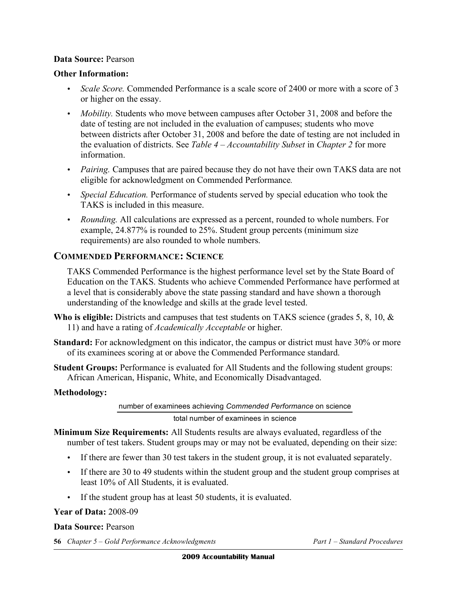### **Data Source:** Pearson

#### **Other Information:**

- *Scale Score.* Commended Performance is a scale score of 2400 or more with a score of 3 or higher on the essay.
- *Mobility*. Students who move between campuses after October 31, 2008 and before the date of testing are not included in the evaluation of campuses; students who move between districts after October 31, 2008 and before the date of testing are not included in the evaluation of districts. See *Table 4 – Accountability Subset* in *Chapter 2* for more information.
- *Pairing.* Campuses that are paired because they do not have their own TAKS data are not eligible for acknowledgment on Commended Performance*.*
- • *Special Education.* Performance of students served by special education who took the TAKS is included in this measure.
- • *Rounding.* All calculations are expressed as a percent, rounded to whole numbers. For example, 24.877% is rounded to 25%. Student group percents (minimum size requirements) are also rounded to whole numbers.

# **COMMENDED PERFORMANCE: SCIENCE**

TAKS Commended Performance is the highest performance level set by the State Board of Education on the TAKS. Students who achieve Commended Performance have performed at a level that is considerably above the state passing standard and have shown a thorough understanding of the knowledge and skills at the grade level tested.

- **Who is eligible:** Districts and campuses that test students on TAKS science (grades 5, 8, 10, & 11) and have a rating of *Academically Acceptable* or higher.
- **Standard:** For acknowledgment on this indicator, the campus or district must have 30% or more of its examinees scoring at or above the Commended Performance standard.
- **Student Groups:** Performance is evaluated for All Students and the following student groups: African American, Hispanic, White, and Economically Disadvantaged.

#### **Methodology:**

number of examinees achieving *Commended Performance* on science total number of examinees in science

- **Minimum Size Requirements:** All Students results are always evaluated, regardless of the number of test takers. Student groups may or may not be evaluated, depending on their size:
	- If there are fewer than 30 test takers in the student group, it is not evaluated separately.
	- If there are 30 to 49 students within the student group and the student group comprises at least 10% of All Students, it is evaluated.
	- If the student group has at least 50 students, it is evaluated.

#### **Year of Data:** 2008-09

#### **Data Source:** Pearson

**56** *Chapter 5 – Gold Performance Acknowledgments Part 1 – Standard Procedures*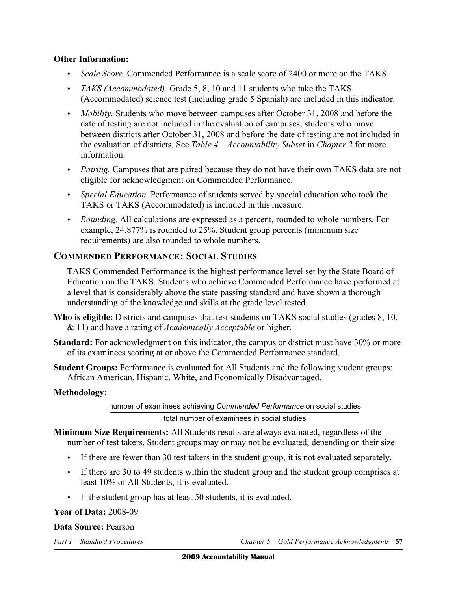### **Other Information:**

- *Scale Score.* Commended Performance is a scale score of 2400 or more on the TAKS.
- • *TAKS (Accommodated)*. Grade 5, 8, 10 and 11 students who take the TAKS (Accommodated) science test (including grade 5 Spanish) are included in this indicator.
- *Mobility*. Students who move between campuses after October 31, 2008 and before the date of testing are not included in the evaluation of campuses; students who move between districts after October 31, 2008 and before the date of testing are not included in the evaluation of districts. See *Table 4 – Accountability Subset* in *Chapter 2* for more information.
- *Pairing.* Campuses that are paired because they do not have their own TAKS data are not eligible for acknowledgment on Commended Performance.
- • *Special Education.* Performance of students served by special education who took the TAKS or TAKS (Accommodated) is included in this measure.
- • *Rounding.* All calculations are expressed as a percent, rounded to whole numbers. For example, 24.877% is rounded to 25%. Student group percents (minimum size requirements) are also rounded to whole numbers.

# **COMMENDED PERFORMANCE: SOCIAL STUDIES**

TAKS Commended Performance is the highest performance level set by the State Board of Education on the TAKS. Students who achieve Commended Performance have performed at a level that is considerably above the state passing standard and have shown a thorough understanding of the knowledge and skills at the grade level tested.

- Who is eligible: Districts and campuses that test students on TAKS social studies (grades 8, 10, & 11) and have a rating of *Academically Acceptable* or higher.
- **Standard:** For acknowledgment on this indicator, the campus or district must have 30% or more of its examinees scoring at or above the Commended Performance standard.
- **Student Groups:** Performance is evaluated for All Students and the following student groups: African American, Hispanic, White, and Economically Disadvantaged.

#### **Methodology:**

number of examinees achieving *Commended Performance* on social studies total number of examinees in social studies

- **Minimum Size Requirements:** All Students results are always evaluated, regardless of the number of test takers. Student groups may or may not be evaluated, depending on their size:
	- If there are fewer than 30 test takers in the student group, it is not evaluated separately.
	- If there are 30 to 49 students within the student group and the student group comprises at least 10% of All Students, it is evaluated.
	- If the student group has at least 50 students, it is evaluated.

#### **Year of Data:** 2008-09

#### **Data Source:** Pearson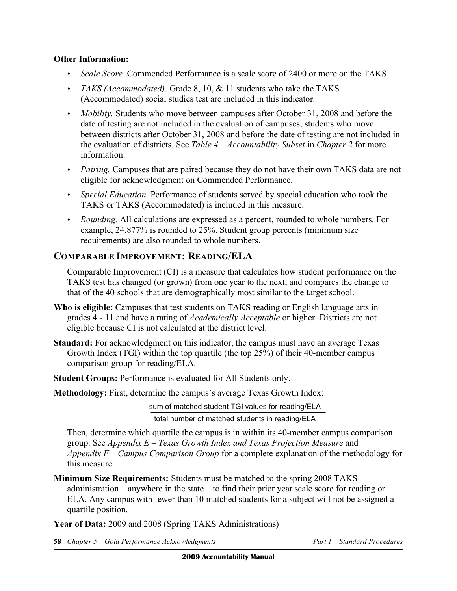# **Other Information:**

- *Scale Score.* Commended Performance is a scale score of 2400 or more on the TAKS.
- *TAKS (Accommodated)*. Grade 8, 10, & 11 students who take the TAKS (Accommodated) social studies test are included in this indicator.
- *Mobility*. Students who move between campuses after October 31, 2008 and before the date of testing are not included in the evaluation of campuses; students who move between districts after October 31, 2008 and before the date of testing are not included in the evaluation of districts. See *Table 4 – Accountability Subset* in *Chapter 2* for more information.
- *Pairing.* Campuses that are paired because they do not have their own TAKS data are not eligible for acknowledgment on Commended Performance.
- *Special Education*. Performance of students served by special education who took the TAKS or TAKS (Accommodated) is included in this measure.
- • *Rounding.* All calculations are expressed as a percent, rounded to whole numbers. For example, 24.877% is rounded to 25%. Student group percents (minimum size requirements) are also rounded to whole numbers.

# **COMPARABLE IMPROVEMENT: READING/ELA**

Comparable Improvement (CI) is a measure that calculates how student performance on the TAKS test has changed (or grown) from one year to the next, and compares the change to that of the 40 schools that are demographically most similar to the target school.

- **Who is eligible:** Campuses that test students on TAKS reading or English language arts in grades 4 - 11 and have a rating of *Academically Acceptable* or higher. Districts are not eligible because CI is not calculated at the district level.
- **Standard:** For acknowledgment on this indicator, the campus must have an average Texas Growth Index (TGI) within the top quartile (the top 25%) of their 40-member campus comparison group for reading/ELA.

**Student Groups: Performance is evaluated for All Students only.** 

**Methodology:** First, determine the campus's average Texas Growth Index:

sum of matched student TGI values for reading/ELA total number of matched students in reading/ELA

Then, determine which quartile the campus is in within its 40-member campus comparison group. See *Appendix E – Texas Growth Index and Texas Projection Measure* and *Appendix F – Campus Comparison Group* for a complete explanation of the methodology for this measure.

**Minimum Size Requirements:** Students must be matched to the spring 2008 TAKS administration—anywhere in the state—to find their prior year scale score for reading or ELA. Any campus with fewer than 10 matched students for a subject will not be assigned a quartile position.

**Year of Data:** 2009 and 2008 (Spring TAKS Administrations)

**58** *Chapter 5 – Gold Performance Acknowledgments Part 1 – Standard Procedures*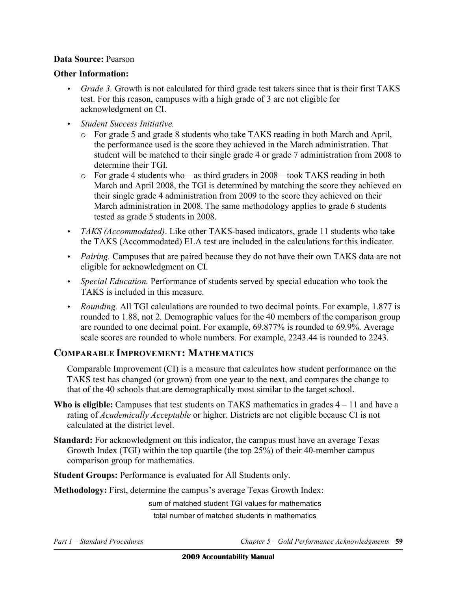# **Data Source:** Pearson

#### **Other Information:**

- *Grade 3.* Growth is not calculated for third grade test takers since that is their first TAKS test. For this reason, campuses with a high grade of 3 are not eligible for acknowledgment on CI.
- • *Student Success Initiative.* 
	- $\circ$  For grade 5 and grade 8 students who take TAKS reading in both March and April, the performance used is the score they achieved in the March administration. That student will be matched to their single grade 4 or grade 7 administration from 2008 to determine their TGI.
	- o For grade 4 students who—as third graders in 2008—took TAKS reading in both March and April 2008, the TGI is determined by matching the score they achieved on their single grade 4 administration from 2009 to the score they achieved on their March administration in 2008. The same methodology applies to grade 6 students tested as grade 5 students in 2008.
- *TAKS (Accommodated)*. Like other TAKS-based indicators, grade 11 students who take the TAKS (Accommodated) ELA test are included in the calculations for this indicator.
- *Pairing.* Campuses that are paired because they do not have their own TAKS data are not eligible for acknowledgment on CI.
- *Special Education*. Performance of students served by special education who took the TAKS is included in this measure.
- • *Rounding.* All TGI calculations are rounded to two decimal points. For example, 1.877 is rounded to 1.88, not 2. Demographic values for the 40 members of the comparison group are rounded to one decimal point. For example, 69.877% is rounded to 69.9%. Average scale scores are rounded to whole numbers. For example, 2243.44 is rounded to 2243.

# **COMPARABLE IMPROVEMENT: MATHEMATICS**

Comparable Improvement (CI) is a measure that calculates how student performance on the TAKS test has changed (or grown) from one year to the next, and compares the change to that of the 40 schools that are demographically most similar to the target school.

- Who is eligible: Campuses that test students on TAKS mathematics in grades  $4 11$  and have a rating of *Academically Acceptable* or higher. Districts are not eligible because CI is not calculated at the district level.
- **Standard:** For acknowledgment on this indicator, the campus must have an average Texas Growth Index (TGI) within the top quartile (the top 25%) of their 40-member campus comparison group for mathematics.

**Student Groups:** Performance is evaluated for All Students only.

**Methodology:** First, determine the campus's average Texas Growth Index:

sum of matched student TGI values for mathematics total number of matched students in mathematics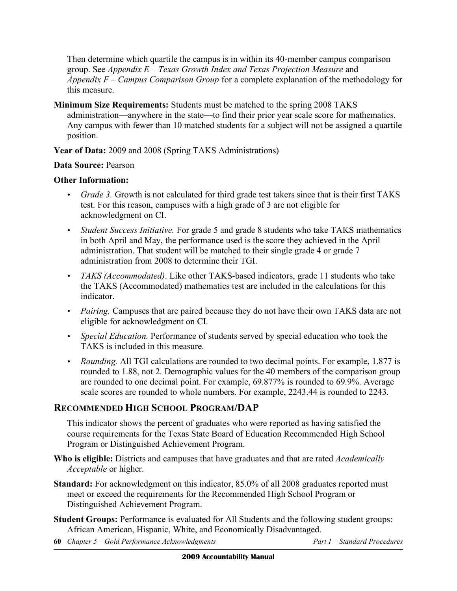Then determine which quartile the campus is in within its 40-member campus comparison group. See *Appendix E – Texas Growth Index and Texas Projection Measure* and *Appendix F – Campus Comparison Group* for a complete explanation of the methodology for this measure.

**Minimum Size Requirements:** Students must be matched to the spring 2008 TAKS administration—anywhere in the state—to find their prior year scale score for mathematics. Any campus with fewer than 10 matched students for a subject will not be assigned a quartile position.

**Year of Data:** 2009 and 2008 (Spring TAKS Administrations)

# **Data Source:** Pearson

# **Other Information:**

- *Grade 3.* Growth is not calculated for third grade test takers since that is their first TAKS test. For this reason, campuses with a high grade of 3 are not eligible for acknowledgment on CI.
- • *Student Success Initiative.* For grade 5 and grade 8 students who take TAKS mathematics in both April and May, the performance used is the score they achieved in the April administration. That student will be matched to their single grade 4 or grade 7 administration from 2008 to determine their TGI.
- *TAKS (Accommodated)*. Like other TAKS-based indicators, grade 11 students who take the TAKS (Accommodated) mathematics test are included in the calculations for this indicator.
- *Pairing.* Campuses that are paired because they do not have their own TAKS data are not eligible for acknowledgment on CI.
- *Special Education.* Performance of students served by special education who took the TAKS is included in this measure.
- *Rounding.* All TGI calculations are rounded to two decimal points. For example, 1.877 is rounded to 1.88, not 2. Demographic values for the 40 members of the comparison group are rounded to one decimal point. For example, 69.877% is rounded to 69.9%. Average scale scores are rounded to whole numbers. For example, 2243.44 is rounded to 2243.

# **RECOMMENDED HIGH SCHOOL PROGRAM/DAP**

This indicator shows the percent of graduates who were reported as having satisfied the course requirements for the Texas State Board of Education Recommended High School Program or Distinguished Achievement Program.

- **Who is eligible:** Districts and campuses that have graduates and that are rated *Academically Acceptable* or higher.
- **Standard:** For acknowledgment on this indicator, 85.0% of all 2008 graduates reported must meet or exceed the requirements for the Recommended High School Program or Distinguished Achievement Program.
- **Student Groups:** Performance is evaluated for All Students and the following student groups: African American, Hispanic, White, and Economically Disadvantaged.
- **60** *Chapter 5 Gold Performance Acknowledgments* Part 1 Standard Procedures *Part 1 Standard Procedures*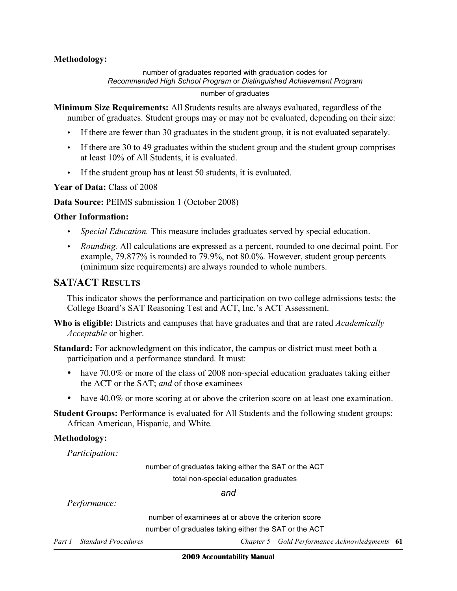### **Methodology:**

number of graduates reported with graduation codes for *Recommended High School Program* or *Distinguished Achievement Program* 

number of graduates

**Minimum Size Requirements:** All Students results are always evaluated, regardless of the number of graduates. Student groups may or may not be evaluated, depending on their size:

- If there are fewer than 30 graduates in the student group, it is not evaluated separately.
- If there are 30 to 49 graduates within the student group and the student group comprises at least 10% of All Students, it is evaluated.
- If the student group has at least 50 students, it is evaluated.

**Year of Data:** Class of 2008

**Data Source:** PEIMS submission 1 (October 2008)

#### **Other Information:**

- *Special Education.* This measure includes graduates served by special education.
- • *Rounding.* All calculations are expressed as a percent, rounded to one decimal point. For example, 79.877% is rounded to 79.9%, not 80.0%. However, student group percents (minimum size requirements) are always rounded to whole numbers.

# **SAT/ACT RESULTS**

This indicator shows the performance and participation on two college admissions tests: the College Board's SAT Reasoning Test and ACT, Inc.'s ACT Assessment.

**Who is eligible:** Districts and campuses that have graduates and that are rated *Academically Acceptable* or higher.

**Standard:** For acknowledgment on this indicator, the campus or district must meet both a participation and a performance standard. It must:

- have  $70.0\%$  or more of the class of 2008 non-special education graduates taking either the ACT or the SAT; *and* of those examinees
- have 40.0% or more scoring at or above the criterion score on at least one examination.
- **Student Groups:** Performance is evaluated for All Students and the following student groups: African American, Hispanic, and White.

#### **Methodology:**

*Participation:* 

number of graduates taking either the SAT or the ACT

total non-special education graduates

*and* 

*Performance:* 

number of examinees at or above the criterion score

number of graduates taking either the SAT or the ACT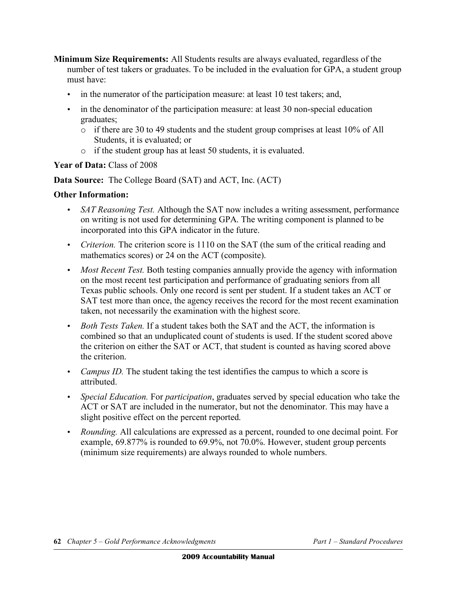- **Minimum Size Requirements:** All Students results are always evaluated, regardless of the number of test takers or graduates. To be included in the evaluation for GPA, a student group must have:
	- in the numerator of the participation measure: at least 10 test takers; and,
	- in the denominator of the participation measure: at least 30 non-special education graduates;
		- $\circ$  if there are 30 to 49 students and the student group comprises at least 10% of All Students, it is evaluated; or
		- $\circ$  if the student group has at least 50 students, it is evaluated.

# Year of Data: Class of 2008

**Data Source:** The College Board (SAT) and ACT, Inc. (ACT)

- *SAT Reasoning Test.* Although the SAT now includes a writing assessment, performance on writing is not used for determining GPA. The writing component is planned to be incorporated into this GPA indicator in the future.
- *Criterion*. The criterion score is 1110 on the SAT (the sum of the critical reading and mathematics scores) or 24 on the ACT (composite).
- *Most Recent Test.* Both testing companies annually provide the agency with information on the most recent test participation and performance of graduating seniors from all Texas public schools. Only one record is sent per student. If a student takes an ACT or SAT test more than once, the agency receives the record for the most recent examination taken, not necessarily the examination with the highest score.
- *Both Tests Taken.* If a student takes both the SAT and the ACT, the information is combined so that an unduplicated count of students is used. If the student scored above the criterion on either the SAT or ACT, that student is counted as having scored above the criterion.
- *Campus ID.* The student taking the test identifies the campus to which a score is attributed.
- • *Special Education.* For *participation*, graduates served by special education who take the ACT or SAT are included in the numerator, but not the denominator. This may have a slight positive effect on the percent reported.
- • *Rounding.* All calculations are expressed as a percent, rounded to one decimal point. For example, 69.877% is rounded to 69.9%, not 70.0%. However, student group percents (minimum size requirements) are always rounded to whole numbers.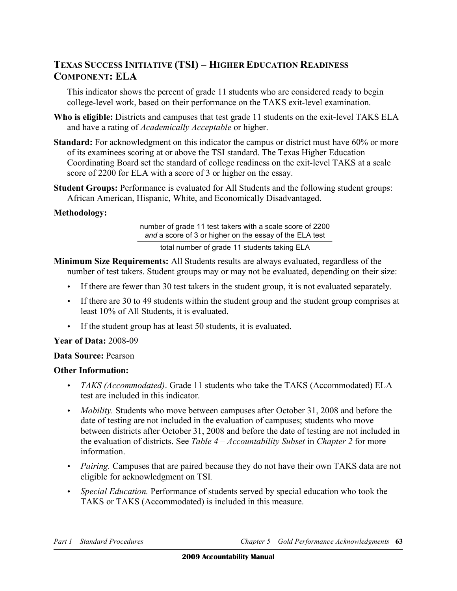# **TEXAS SUCCESS INITIATIVE (TSI) – HIGHER EDUCATION READINESS COMPONENT: ELA**

 This indicator shows the percent of grade 11 students who are considered ready to begin college-level work, based on their performance on the TAKS exit-level examination.

- **Who is eligible:** Districts and campuses that test grade 11 students on the exit-level TAKS ELA and have a rating of *Academically Acceptable* or higher.
- Standard: For acknowledgment on this indicator the campus or district must have 60% or more of its examinees scoring at or above the TSI standard. The Texas Higher Education Coordinating Board set the standard of college readiness on the exit-level TAKS at a scale score of 2200 for ELA with a score of 3 or higher on the essay.
- **Student Groups: Performance is evaluated for All Students and the following student groups:** African American, Hispanic, White, and Economically Disadvantaged.

#### **Methodology:**

 number of grade 11 test takers with a scale score of 2200 *and* a score of 3 or higher on the essay of the ELA test

total number of grade 11 students taking ELA

- **Minimum Size Requirements:** All Students results are always evaluated, regardless of the number of test takers. Student groups may or may not be evaluated, depending on their size:
	- • If there are fewer than 30 test takers in the student group, it is not evaluated separately.
	- • If there are 30 to 49 students within the student group and the student group comprises at least 10% of All Students, it is evaluated.
	- If the student group has at least 50 students, it is evaluated.

# **Year of Data:** 2008-09

#### **Data Source:** Pearson

# **Other Information:**

- • *TAKS (Accommodated)*. Grade 11 students who take the TAKS (Accommodated) ELA test are included in this indicator.
- • *Mobility.* Students who move between campuses after October 31, 2008 and before the date of testing are not included in the evaluation of campuses; students who move between districts after October 31, 2008 and before the date of testing are not included in the evaluation of districts. See *Table 4 – Accountability Subset* in *Chapter 2* for more information.
- • *Pairing.* Campuses that are paired because they do not have their own TAKS data are not eligible for acknowledgment on TSI*.*
- *Special Education*. Performance of students served by special education who took the TAKS or TAKS (Accommodated) is included in this measure.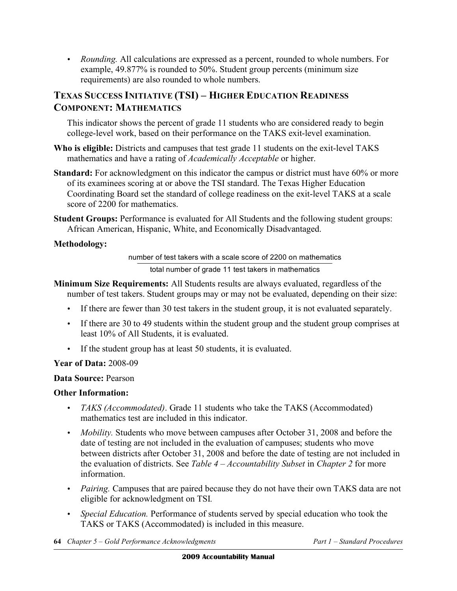• *Rounding.* All calculations are expressed as a percent, rounded to whole numbers. For example, 49.877% is rounded to 50%. Student group percents (minimum size requirements) are also rounded to whole numbers.

# **TEXAS SUCCESS INITIATIVE (TSI) – HIGHER EDUCATION READINESS COMPONENT: MATHEMATICS**

 This indicator shows the percent of grade 11 students who are considered ready to begin college-level work, based on their performance on the TAKS exit-level examination.

- **Who is eligible:** Districts and campuses that test grade 11 students on the exit-level TAKS mathematics and have a rating of *Academically Acceptable* or higher.
- Standard: For acknowledgment on this indicator the campus or district must have 60% or more of its examinees scoring at or above the TSI standard. The Texas Higher Education Coordinating Board set the standard of college readiness on the exit-level TAKS at a scale score of 2200 for mathematics.
- **Student Groups:** Performance is evaluated for All Students and the following student groups: African American, Hispanic, White, and Economically Disadvantaged.

# **Methodology:**

 number of test takers with a scale score of 2200 on mathematics total number of grade 11 test takers in mathematics

- **Minimum Size Requirements:** All Students results are always evaluated, regardless of the number of test takers. Student groups may or may not be evaluated, depending on their size:
	- • If there are fewer than 30 test takers in the student group, it is not evaluated separately.
	- • If there are 30 to 49 students within the student group and the student group comprises at least 10% of All Students, it is evaluated.
	- If the student group has at least 50 students, it is evaluated.

# **Year of Data:** 2008-09

**Data Source:** Pearson

- • *TAKS (Accommodated)*. Grade 11 students who take the TAKS (Accommodated) mathematics test are included in this indicator.
- • *Mobility.* Students who move between campuses after October 31, 2008 and before the date of testing are not included in the evaluation of campuses; students who move between districts after October 31, 2008 and before the date of testing are not included in the evaluation of districts. See *Table 4 – Accountability Subset* in *Chapter 2* for more information.
- • *Pairing.* Campuses that are paired because they do not have their own TAKS data are not eligible for acknowledgment on TSI*.*
- *Special Education*. Performance of students served by special education who took the TAKS or TAKS (Accommodated) is included in this measure.